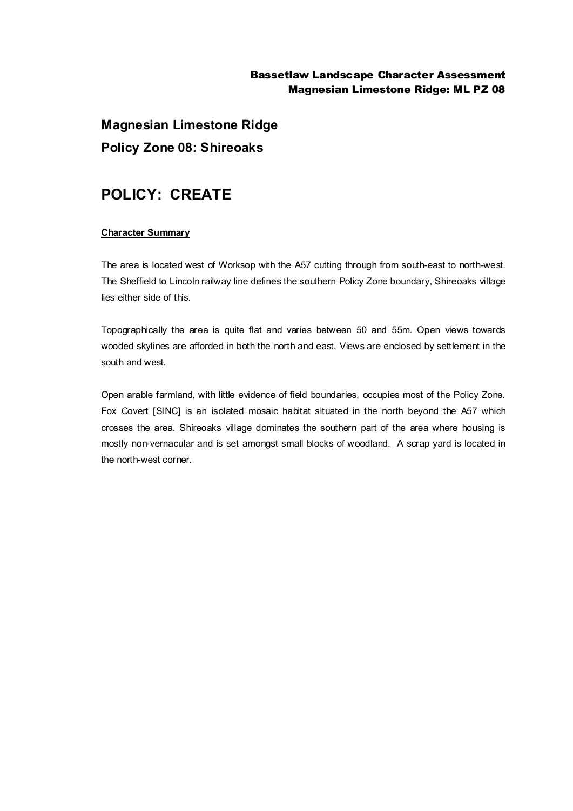## Bassetlaw Landscape Character Assessment Magnesian Limestone Ridge: ML PZ 08

**Magnesian Limestone Ridge Policy Zone 08: Shireoaks**

# **POLICY: CREATE**

### **Character Summary**

The area is located west of Worksop with the A57 cutting through from south-east to north-west. The Sheffield to Lincoln railway line defines the southern Policy Zone boundary, Shireoaks village lies either side of this.

Topographically the area is quite flat and varies between 50 and 55m. Open views towards wooded skylines are afforded in both the north and east. Views are enclosed by settlement in the south and west.

Open arable farmland, with little evidence of field boundaries, occupies most of the Policy Zone. Fox Covert [SINC] is an isolated mosaic habitat situated in the north beyond the A57 which crosses the area. Shireoaks village dominates the southern part of the area where housing is mostly non-vernacular and is set amongst small blocks of woodland. A scrap yard is located in the north-west corner.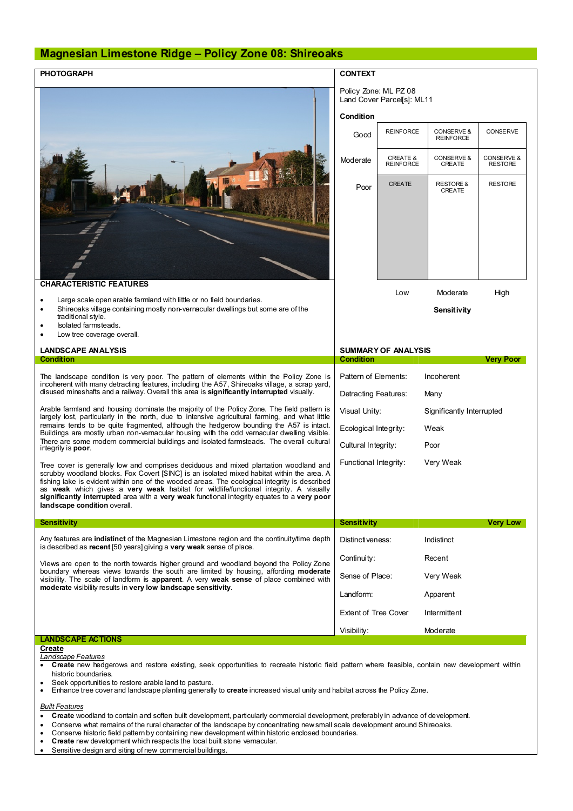# **Magnesian Limestone Ridge – Policy Zone 08: Shireoaks**

| <b>PHOTOGRAPH</b>                                                                                                                                                                                                                                                                                                                                                                                                                                                                                            | <b>CONTEXT</b>                                      |                                         |                                           |                              |
|--------------------------------------------------------------------------------------------------------------------------------------------------------------------------------------------------------------------------------------------------------------------------------------------------------------------------------------------------------------------------------------------------------------------------------------------------------------------------------------------------------------|-----------------------------------------------------|-----------------------------------------|-------------------------------------------|------------------------------|
|                                                                                                                                                                                                                                                                                                                                                                                                                                                                                                              | Policy Zone: ML PZ 08<br>Land Cover Parcells1: ML11 |                                         |                                           |                              |
|                                                                                                                                                                                                                                                                                                                                                                                                                                                                                                              | Condition                                           |                                         |                                           |                              |
|                                                                                                                                                                                                                                                                                                                                                                                                                                                                                                              | Good                                                | <b>REINFORCE</b>                        | <b>CONSERVE &amp;</b><br><b>REINFORCE</b> | CONSERVE                     |
|                                                                                                                                                                                                                                                                                                                                                                                                                                                                                                              | Moderate                                            | <b>CREATE &amp;</b><br><b>REINFORCE</b> | CONSERVE &<br>CREATE                      | CONSERVE &<br><b>RESTORE</b> |
|                                                                                                                                                                                                                                                                                                                                                                                                                                                                                                              | Poor                                                | <b>CREATE</b>                           | <b>RESTORE &amp;</b><br>CREATE            | <b>RESTORE</b>               |
| <b>CHARACTERISTIC FEATURES</b>                                                                                                                                                                                                                                                                                                                                                                                                                                                                               |                                                     |                                         |                                           |                              |
| Large scale open arable farmland with little or no field boundaries.<br>٠                                                                                                                                                                                                                                                                                                                                                                                                                                    |                                                     | Low                                     | Moderate                                  | High                         |
| Shireoaks village containing mostly non-vernacular dwellings but some are of the<br>$\bullet$<br>traditional style.<br>Isolated farmsteads.<br>٠                                                                                                                                                                                                                                                                                                                                                             |                                                     |                                         | Sensitivity                               |                              |
| Low tree coverage overall.                                                                                                                                                                                                                                                                                                                                                                                                                                                                                   |                                                     |                                         |                                           |                              |
| <b>LANDSCAPE ANALYSIS</b><br><b>Condition</b>                                                                                                                                                                                                                                                                                                                                                                                                                                                                | Condition                                           | <b>SUMMARY OF ANALYSIS</b>              |                                           | <b>Very Poor</b>             |
|                                                                                                                                                                                                                                                                                                                                                                                                                                                                                                              |                                                     |                                         |                                           |                              |
| The landscape condition is very poor. The pattern of elements within the Policy Zone is<br>incoherent with many detracting features, including the A57, Shireoaks village, a scrap yard,                                                                                                                                                                                                                                                                                                                     |                                                     |                                         |                                           |                              |
|                                                                                                                                                                                                                                                                                                                                                                                                                                                                                                              | Pattern of Elements:                                |                                         | Incoherent                                |                              |
| disused mineshafts and a railway. Overall this area is significantly interrupted visually.                                                                                                                                                                                                                                                                                                                                                                                                                   | Detracting Features:                                |                                         | Many                                      |                              |
| Arable farmland and housing dominate the majority of the Policy Zone. The field pattern is<br>largely lost, particularly in the north, due to intensive agricultural farming, and what little                                                                                                                                                                                                                                                                                                                | Visual Unity:                                       |                                         | Significantly Interrupted                 |                              |
| remains tends to be quite fragmented, although the hedgerow bounding the A57 is intact.<br>Buildings are mostly urban non-vernacular housing with the odd vernacular dwelling visible.                                                                                                                                                                                                                                                                                                                       | Ecological Integrity:                               |                                         | Weak                                      |                              |
| There are some modern commercial buildings and isolated farmsteads. The overall cultural<br>integrity is <b>poor</b> .                                                                                                                                                                                                                                                                                                                                                                                       | Cultural Integrity:                                 |                                         | Poor                                      |                              |
| Tree cover is generally low and comprises deciduous and mixed plantation woodland and<br>scrubby woodland blocks. Fox Covert [SINC] is an isolated mixed habitat within the area. A<br>fishing lake is evident within one of the wooded areas. The ecological integrity is described<br>as weak which gives a very weak habitat for wildlife/functional integrity. A visually<br>significantly interrupted area with a very weak functional integrity equates to a very poor<br>landscape condition overall. | Functional Integrity:                               |                                         | Very Weak                                 |                              |
| <b>Sensitivity</b>                                                                                                                                                                                                                                                                                                                                                                                                                                                                                           | <b>Sensitivity</b>                                  |                                         |                                           | <b>Very Low</b>              |
| Any features are indistinct of the Magnesian Limestone region and the continuity/time depth                                                                                                                                                                                                                                                                                                                                                                                                                  | Distinctiveness:                                    |                                         | Indistinct                                |                              |
| is described as recent [50 years] giving a very weak sense of place.                                                                                                                                                                                                                                                                                                                                                                                                                                         | Continuity:                                         |                                         | Recent                                    |                              |
| Views are open to the north towards higher ground and woodland beyond the Policy Zone<br>boundary whereas views towards the south are limited by housing, affording moderate<br>visibility. The scale of landform is apparent. A very weak sense of place combined with                                                                                                                                                                                                                                      | Sense of Place:                                     |                                         | Very Weak                                 |                              |
| moderate visibility results in very low landscape sensitivity.                                                                                                                                                                                                                                                                                                                                                                                                                                               | Landform:                                           |                                         | Apparent                                  |                              |
|                                                                                                                                                                                                                                                                                                                                                                                                                                                                                                              | <b>Extent of Tree Cover</b>                         |                                         | Intermittent                              |                              |
|                                                                                                                                                                                                                                                                                                                                                                                                                                                                                                              | Visibility:                                         |                                         | Moderate                                  |                              |
| <b>LANDSCAPE ACTIONS</b><br>Create                                                                                                                                                                                                                                                                                                                                                                                                                                                                           |                                                     |                                         |                                           |                              |

- · **Create** new hedgerows and restore existing, seek opportunities to recreate historic field pattern where feasible, contain new development within historic boundaries.
- · Seek opportunities to restore arable land to pasture.
- · Enhance tree cover and landscape planting generally to **create** increased visual unity and habitat across the Policy Zone.

#### *Built Features*

- · **Create** woodland to contain and soften built development, particularly commercial development, preferably in advance of development.
- · Conserve what remains of the rural character of the landscape by concentrating new small scale development around Shireoaks.
- · Conserve historic field pattern by containing new development within historic enclosed boundaries.
- · **Create** new development which respects the local built stone vernacular.
- Sensitive design and siting of new commercial buildings.